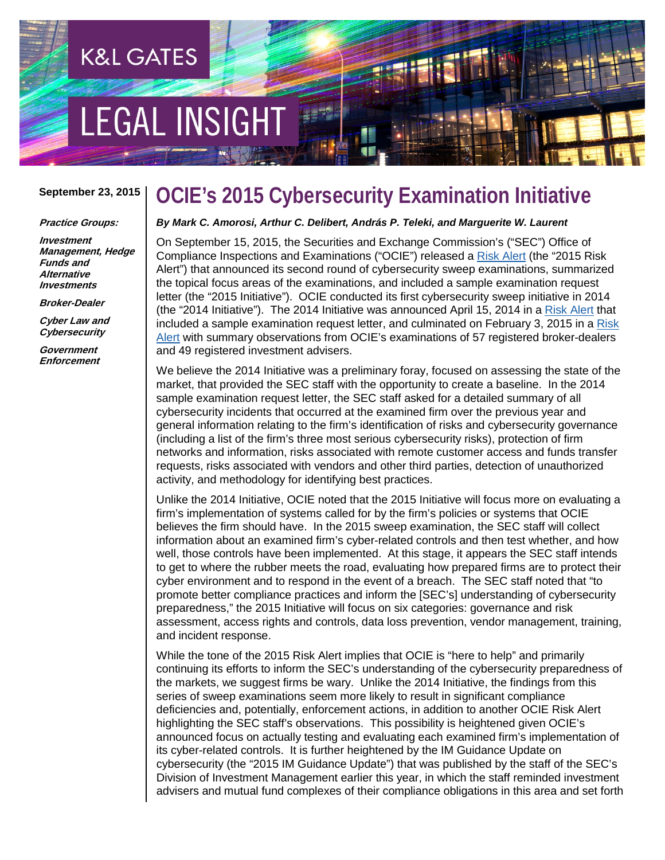# **EGAL INSIGHT**

**K&L GATES** 

#### **September 23, 2015**

#### **Practice Groups:**

**Investment Management, Hedge Funds and Alternative Investments**

**Broker-Dealer**

**Cyber Law and Cybersecurity**

**Government Enforcement**

# **OCIE's 2015 Cybersecurity Examination Initiative**

### *By Mark C. Amorosi, Arthur C. Delibert, András P. Teleki, and Marguerite W. Laurent*

On September 15, 2015, the Securities and Exchange Commission's ("SEC") Office of Compliance Inspections and Examinations ("OCIE") released a [Risk Alert](http://www.sec.gov/ocie/announcement/ocie-2015-cybersecurity-examination-initiative.pdf) (the "2015 Risk Alert") that announced its second round of cybersecurity sweep examinations, summarized the topical focus areas of the examinations, and included a sample examination request letter (the "2015 Initiative"). OCIE conducted its first cybersecurity sweep initiative in 2014 (the "2014 Initiative"). The 2014 Initiative was announced April 15, 2014 in a [Risk Alert](http://www.sec.gov/ocie/announcement/Cybersecurity-Risk-Alert--Appendix---4.15.14.pdf) that included a sample examination request letter, and culminated on February 3, 2015 in a [Risk](http://www.sec.gov/about/offices/ocie/cybersecurity-examination-sweep-summary.pdf)  [Alert](http://www.sec.gov/about/offices/ocie/cybersecurity-examination-sweep-summary.pdf) with summary observations from OCIE's examinations of 57 registered broker-dealers and 49 registered investment advisers.

We believe the 2014 Initiative was a preliminary foray, focused on assessing the state of the market, that provided the SEC staff with the opportunity to create a baseline. In the 2014 sample examination request letter, the SEC staff asked for a detailed summary of all cybersecurity incidents that occurred at the examined firm over the previous year and general information relating to the firm's identification of risks and cybersecurity governance (including a list of the firm's three most serious cybersecurity risks), protection of firm networks and information, risks associated with remote customer access and funds transfer requests, risks associated with vendors and other third parties, detection of unauthorized activity, and methodology for identifying best practices.

Unlike the 2014 Initiative, OCIE noted that the 2015 Initiative will focus more on evaluating a firm's implementation of systems called for by the firm's policies or systems that OCIE believes the firm should have. In the 2015 sweep examination, the SEC staff will collect information about an examined firm's cyber-related controls and then test whether, and how well, those controls have been implemented. At this stage, it appears the SEC staff intends to get to where the rubber meets the road, evaluating how prepared firms are to protect their cyber environment and to respond in the event of a breach. The SEC staff noted that "to promote better compliance practices and inform the [SEC's] understanding of cybersecurity preparedness," the 2015 Initiative will focus on six categories: governance and risk assessment, access rights and controls, data loss prevention, vendor management, training, and incident response.

While the tone of the 2015 Risk Alert implies that OCIE is "here to help" and primarily continuing its efforts to inform the SEC's understanding of the cybersecurity preparedness of the markets, we suggest firms be wary. Unlike the 2014 Initiative, the findings from this series of sweep examinations seem more likely to result in significant compliance deficiencies and, potentially, enforcement actions, in addition to another OCIE Risk Alert highlighting the SEC staff's observations. This possibility is heightened given OCIE's announced focus on actually testing and evaluating each examined firm's implementation of its cyber-related controls. It is further heightened by the IM Guidance Update on cybersecurity (the "2015 IM Guidance Update") that was published by the staff of the SEC's Division of Investment Management earlier this year, in which the staff reminded investment advisers and mutual fund complexes of their compliance obligations in this area and set forth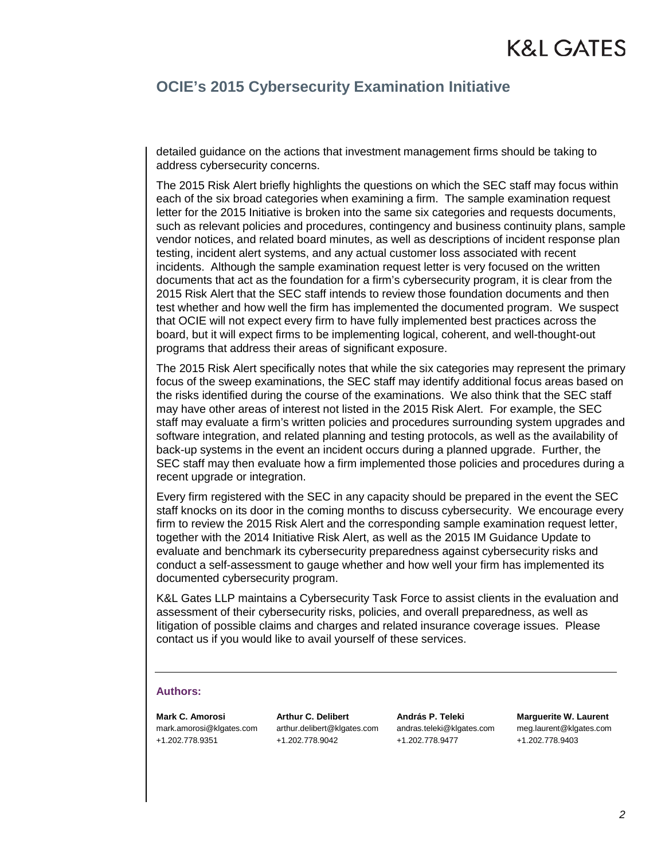# K&L GATES

### **OCIE's 2015 Cybersecurity Examination Initiative**

detailed guidance on the actions that investment management firms should be taking to address cybersecurity concerns.

The 2015 Risk Alert briefly highlights the questions on which the SEC staff may focus within each of the six broad categories when examining a firm. The sample examination request letter for the 2015 Initiative is broken into the same six categories and requests documents, such as relevant policies and procedures, contingency and business continuity plans, sample vendor notices, and related board minutes, as well as descriptions of incident response plan testing, incident alert systems, and any actual customer loss associated with recent incidents. Although the sample examination request letter is very focused on the written documents that act as the foundation for a firm's cybersecurity program, it is clear from the 2015 Risk Alert that the SEC staff intends to review those foundation documents and then test whether and how well the firm has implemented the documented program. We suspect that OCIE will not expect every firm to have fully implemented best practices across the board, but it will expect firms to be implementing logical, coherent, and well-thought-out programs that address their areas of significant exposure.

The 2015 Risk Alert specifically notes that while the six categories may represent the primary focus of the sweep examinations, the SEC staff may identify additional focus areas based on the risks identified during the course of the examinations. We also think that the SEC staff may have other areas of interest not listed in the 2015 Risk Alert. For example, the SEC staff may evaluate a firm's written policies and procedures surrounding system upgrades and software integration, and related planning and testing protocols, as well as the availability of back-up systems in the event an incident occurs during a planned upgrade. Further, the SEC staff may then evaluate how a firm implemented those policies and procedures during a recent upgrade or integration.

Every firm registered with the SEC in any capacity should be prepared in the event the SEC staff knocks on its door in the coming months to discuss cybersecurity. We encourage every firm to review the 2015 Risk Alert and the corresponding sample examination request letter, together with the 2014 Initiative Risk Alert, as well as the 2015 IM Guidance Update to evaluate and benchmark its cybersecurity preparedness against cybersecurity risks and conduct a self-assessment to gauge whether and how well your firm has implemented its documented cybersecurity program.

K&L Gates LLP maintains a Cybersecurity Task Force to assist clients in the evaluation and assessment of their cybersecurity risks, policies, and overall preparedness, as well as litigation of possible claims and charges and related insurance coverage issues. Please contact us if you would like to avail yourself of these services.

### **Authors:**

**Mark C. Amorosi** mark.amorosi@klgates.com +1.202.778.9351

**Arthur C. Delibert** arthur.delibert@klgates.com +1.202.778.9042

**András P. Teleki** andras.teleki@klgates.com +1.202.778.9477

**Marguerite W. Laurent** meg.laurent@klgates.com +1.202.778.9403